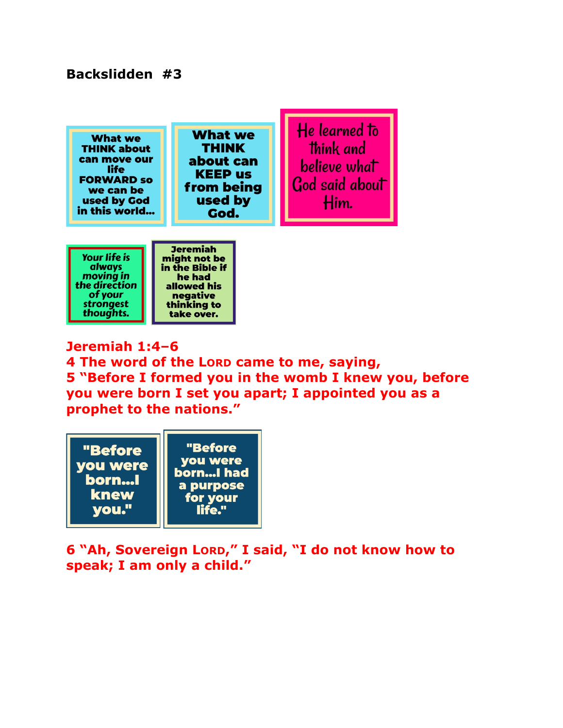## **Backslidden #3**

**What we THINK about** can move our life **FORWARD SO** we can be used by God in this world...

**What we THINK** about can **KEEP us** from being used by God.

He learned to think and believe what God said about Him.



I

**Jeremiah 1:4–6 4 The word of the LORD came to me, saying, 5 "Before I formed you in the womb I knew you, before you were born I set you apart; I appointed you as a prophet to the nations."** 



**6 "Ah, Sovereign LORD," I said, "I do not know how to speak; I am only a child."**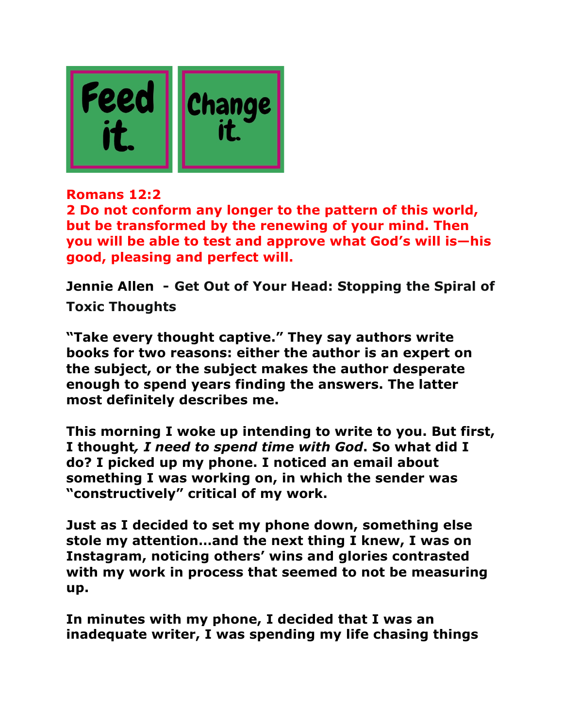

**Romans 12:2** 

**2 Do not conform any longer to the pattern of this world, but be transformed by the renewing of your mind. Then you will be able to test and approve what God's will is—his good, pleasing and perfect will.** 

**Jennie Allen - Get Out of Your Head: Stopping the Spiral of Toxic Thoughts**

**"Take every thought captive." They say authors write books for two reasons: either the author is an expert on the subject, or the subject makes the author desperate enough to spend years finding the answers. The latter most definitely describes me.**

**This morning I woke up intending to write to you. But first, I thought***, I need to spend time with God***. So what did I do? I picked up my phone. I noticed an email about something I was working on, in which the sender was "constructively" critical of my work.**

**Just as I decided to set my phone down, something else stole my attention…and the next thing I knew, I was on Instagram, noticing others' wins and glories contrasted with my work in process that seemed to not be measuring up.** 

**In minutes with my phone, I decided that I was an inadequate writer, I was spending my life chasing things**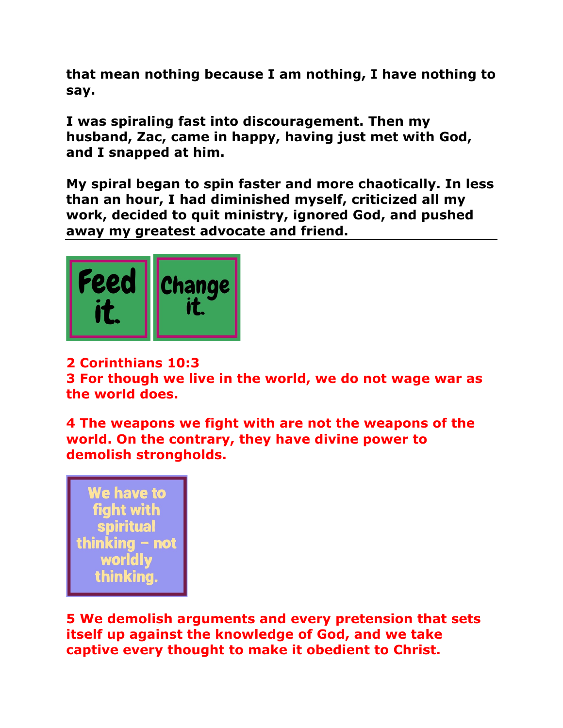**that mean nothing because I am nothing, I have nothing to say.** 

**I was spiraling fast into discouragement. Then my husband, Zac, came in happy, having just met with God, and I snapped at him.**

**My spiral began to spin faster and more chaotically. In less than an hour, I had diminished myself, criticized all my work, decided to quit ministry, ignored God, and pushed away my greatest advocate and friend.**



## **2 Corinthians 10:3**

**3 For though we live in the world, we do not wage war as the world does.**

**4 The weapons we fight with are not the weapons of the world. On the contrary, they have divine power to demolish strongholds.** 

We have to fiaht with **spiritual** thinking - not **worldly** thinking.

**5 We demolish arguments and every pretension that sets itself up against the knowledge of God, and we take captive every thought to make it obedient to Christ.**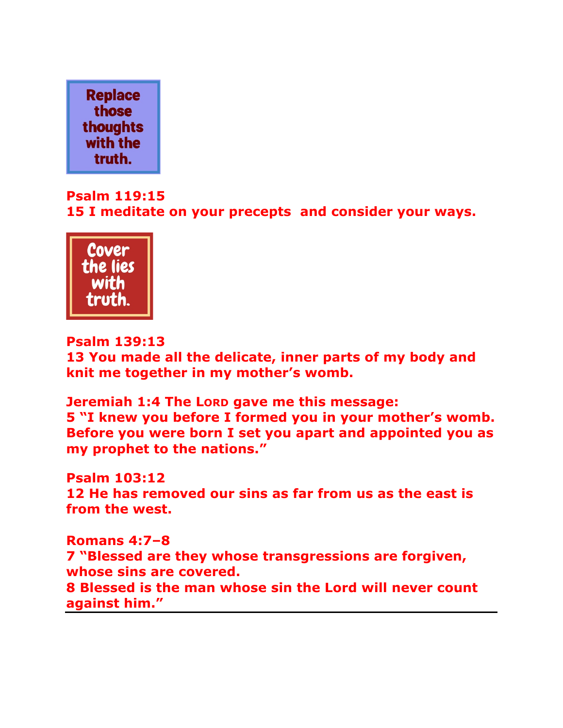

## **Psalm 119:15 15 I meditate on your precepts and consider your ways.**



**Psalm 139:13** 

**13 You made all the delicate, inner parts of my body and knit me together in my mother's womb.** 

**Jeremiah 1:4 The LORD gave me this message: 5 "I knew you before I formed you in your mother's womb. Before you were born I set you apart and appointed you as my prophet to the nations."** 

**Psalm 103:12 12 He has removed our sins as far from us as the east is from the west.**

**Romans 4:7–8 7 "Blessed are they whose transgressions are forgiven, whose sins are covered. 8 Blessed is the man whose sin the Lord will never count against him."**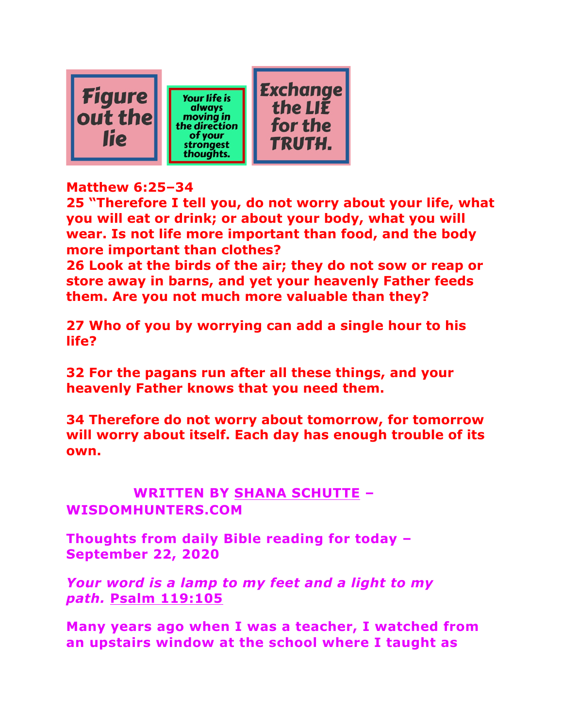

## **Matthew 6:25–34**

**25 "Therefore I tell you, do not worry about your life, what you will eat or drink; or about your body, what you will wear. Is not life more important than food, and the body more important than clothes?** 

**26 Look at the birds of the air; they do not sow or reap or store away in barns, and yet your heavenly Father feeds them. Are you not much more valuable than they?** 

**27 Who of you by worrying can add a single hour to his life?** 

**32 For the pagans run after all these things, and your heavenly Father knows that you need them.**

**34 Therefore do not worry about tomorrow, for tomorrow will worry about itself. Each day has enough trouble of its own.** 

**Over LiesWRITTEN BY SHANA SCHUTTE – WISDOMHUNTERS.COM**

**Thoughts from daily Bible reading for today – September 22, 2020**

*Your word is a lamp to my feet and a light to my path.* **Psalm 119:105**

**Many years ago when I was a teacher, I watched from an upstairs window at the school where I taught as**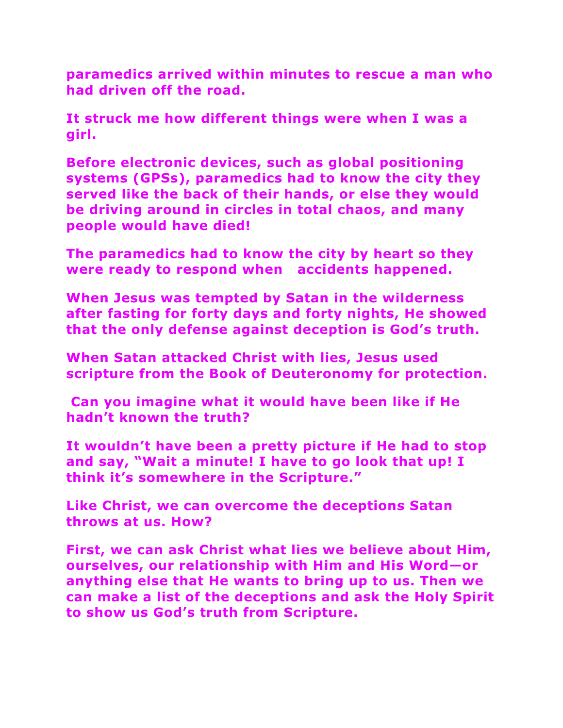**paramedics arrived within minutes to rescue a man who had driven off the road.** 

**It struck me how different things were when I was a girl.** 

**Before electronic devices, such as global positioning systems (GPSs), paramedics had to know the city they served like the back of their hands, or else they would be driving around in circles in total chaos, and many people would have died!** 

**The paramedics had to know the city by heart so they were ready to respond when accidents happened.**

**When Jesus was tempted by Satan in the wilderness after fasting for forty days and forty nights, He showed that the only defense against deception is God's truth.** 

**When Satan attacked Christ with lies, Jesus used scripture from the Book of Deuteronomy for protection.**

**Can you imagine what it would have been like if He hadn't known the truth?** 

**It wouldn't have been a pretty picture if He had to stop and say, "Wait a minute! I have to go look that up! I think it's somewhere in the Scripture."**

**Like Christ, we can overcome the deceptions Satan throws at us. How?** 

**First, we can ask Christ what lies we believe about Him, ourselves, our relationship with Him and His Word—or anything else that He wants to bring up to us. Then we can make a list of the deceptions and ask the Holy Spirit to show us God's truth from Scripture.**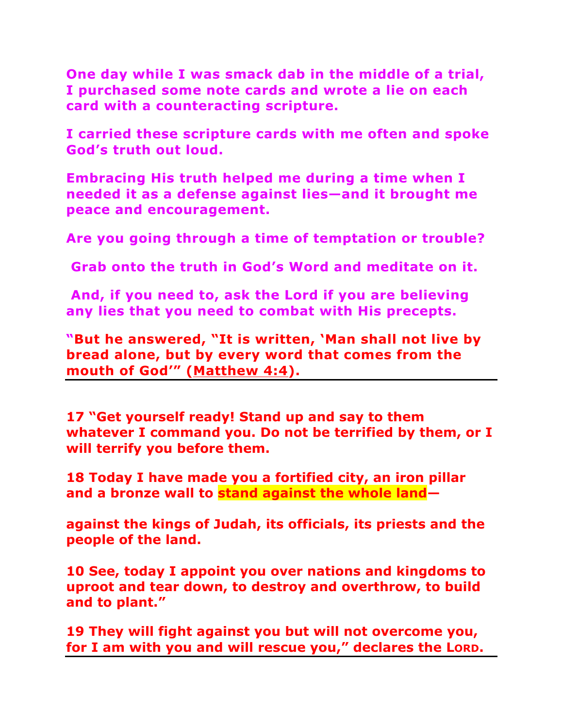**One day while I was smack dab in the middle of a trial, I purchased some note cards and wrote a lie on each card with a counteracting scripture.** 

**I carried these scripture cards with me often and spoke God's truth out loud.** 

**Embracing His truth helped me during a time when I needed it as a defense against lies—and it brought me peace and encouragement.**

**Are you going through a time of temptation or trouble?**

**Grab onto the truth in God's Word and meditate on it.**

**And, if you need to, ask the Lord if you are believing any lies that you need to combat with His precepts.**

**"But he answered, "It is written, 'Man shall not live by bread alone, but by every word that comes from the mouth of God'" (Matthew 4:4).**

**17 "Get yourself ready! Stand up and say to them whatever I command you. Do not be terrified by them, or I will terrify you before them.** 

**18 Today I have made you a fortified city, an iron pillar and a bronze wall to stand against the whole land—**

**against the kings of Judah, its officials, its priests and the people of the land.**

**10 See, today I appoint you over nations and kingdoms to uproot and tear down, to destroy and overthrow, to build and to plant."**

**19 They will fight against you but will not overcome you, for I am with you and will rescue you," declares the LORD.**